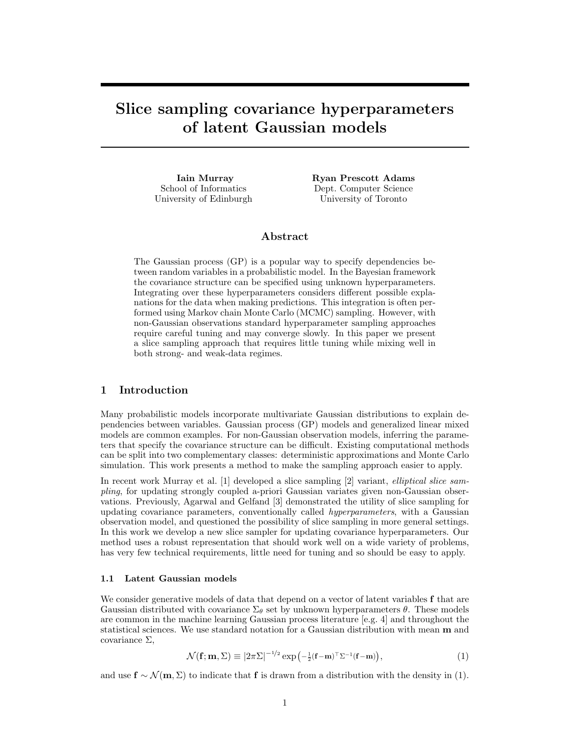# Slice sampling covariance hyperparameters of latent Gaussian models

Iain Murray School of Informatics University of Edinburgh Ryan Prescott Adams Dept. Computer Science University of Toronto

# Abstract

The Gaussian process (GP) is a popular way to specify dependencies between random variables in a probabilistic model. In the Bayesian framework the covariance structure can be specified using unknown hyperparameters. Integrating over these hyperparameters considers different possible explanations for the data when making predictions. This integration is often performed using Markov chain Monte Carlo (MCMC) sampling. However, with non-Gaussian observations standard hyperparameter sampling approaches require careful tuning and may converge slowly. In this paper we present a slice sampling approach that requires little tuning while mixing well in both strong- and weak-data regimes.

# 1 Introduction

Many probabilistic models incorporate multivariate Gaussian distributions to explain dependencies between variables. Gaussian process (GP) models and generalized linear mixed models are common examples. For non-Gaussian observation models, inferring the parameters that specify the covariance structure can be difficult. Existing computational methods can be split into two complementary classes: deterministic approximations and Monte Carlo simulation. This work presents a method to make the sampling approach easier to apply.

In recent work Murray et al. [1] developed a slice sampling [2] variant, elliptical slice sampling, for updating strongly coupled a-priori Gaussian variates given non-Gaussian observations. Previously, Agarwal and Gelfand [3] demonstrated the utility of slice sampling for updating covariance parameters, conventionally called *hyperparameters*, with a Gaussian observation model, and questioned the possibility of slice sampling in more general settings. In this work we develop a new slice sampler for updating covariance hyperparameters. Our method uses a robust representation that should work well on a wide variety of problems, has very few technical requirements, little need for tuning and so should be easy to apply.

#### 1.1 Latent Gaussian models

We consider generative models of data that depend on a vector of latent variables  $f$  that are Gaussian distributed with covariance  $\Sigma_{\theta}$  set by unknown hyperparameters  $\theta$ . These models are common in the machine learning Gaussian process literature [e.g. 4] and throughout the statistical sciences. We use standard notation for a Gaussian distribution with mean m and covariance  $\Sigma$ ,

$$
\mathcal{N}(\mathbf{f}; \mathbf{m}, \Sigma) \equiv |2\pi\Sigma|^{-1/2} \exp\left(-\frac{1}{2}(\mathbf{f} - \mathbf{m})^\top \Sigma^{-1}(\mathbf{f} - \mathbf{m})\right),\tag{1}
$$

and use  $f \sim \mathcal{N}(m, \Sigma)$  to indicate that f is drawn from a distribution with the density in (1).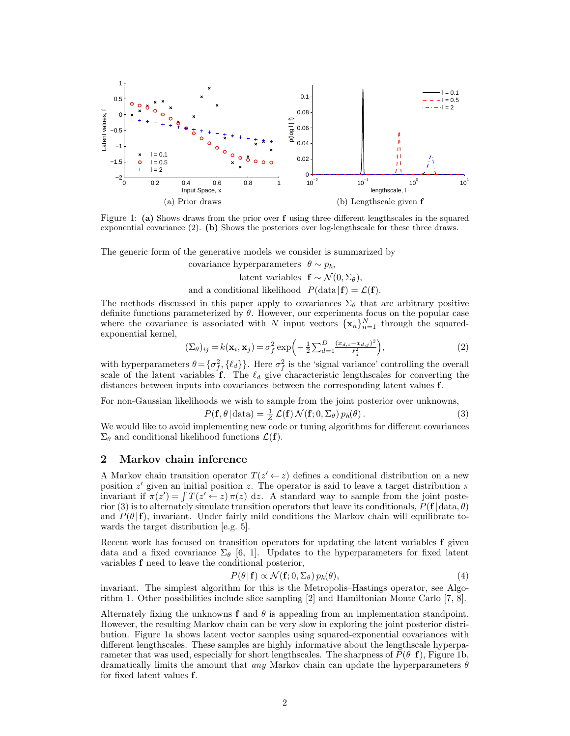

Figure 1: (a) Shows draws from the prior over f using three different lengthscales in the squared exponential covariance (2). (b) Shows the posteriors over log-lengthscale for these three draws.

The generic form of the generative models we consider is summarized by

covariance hyperparameters  $\theta \sim p_h$ , latent variables  $f \sim \mathcal{N}(0, \Sigma_{\theta}),$ and a conditional likelihood  $P(\text{data}|\mathbf{f}) = \mathcal{L}(\mathbf{f}).$ 

The methods discussed in this paper apply to covariances  $\Sigma_{\theta}$  that are arbitrary positive definite functions parameterized by  $\theta$ . However, our experiments focus on the popular case where the covariance is associated with N input vectors  $\{x_n\}_{n=1}^N$  through the squaredexponential kernel,

$$
(\Sigma_{\theta})_{ij} = k(\mathbf{x}_i, \mathbf{x}_j) = \sigma_f^2 \exp\left(-\frac{1}{2} \sum_{d=1}^D \frac{(x_{d,i} - x_{d,j})^2}{\ell_d^2}\right),\tag{2}
$$

with hyperparameters  $\theta = {\{\sigma_f^2, \{\ell_d\}\}}$ . Here  $\sigma_f^2$  is the 'signal variance' controlling the overall scale of the latent variables f. The  $\ell_d$  give characteristic lengthscales for converting the distances between inputs into covariances between the corresponding latent values f.

For non-Gaussian likelihoods we wish to sample from the joint posterior over unknowns,

$$
P(\mathbf{f}, \theta | \text{data}) = \frac{1}{Z} \mathcal{L}(\mathbf{f}) \mathcal{N}(\mathbf{f}; 0, \Sigma_{\theta}) p_h(\theta).
$$
 (3)

We would like to avoid implementing new code or tuning algorithms for different covariances  $\Sigma_{\theta}$  and conditional likelihood functions  $\mathcal{L}(\mathbf{f})$ .

# 2 Markov chain inference

A Markov chain transition operator  $T(z' \leftarrow z)$  defines a conditional distribution on a new position  $z'$  given an initial position z. The operator is said to leave a target distribution  $\pi$ invariant if  $\pi(z') = \int T(z' \leftarrow z) \pi(z) dz$ . A standard way to sample from the joint posterior (3) is to alternately simulate transition operators that leave its conditionals,  $P(\mathbf{f} | \text{data}, \theta)$ and  $P(\theta | \mathbf{f})$ , invariant. Under fairly mild conditions the Markov chain will equilibrate towards the target distribution [e.g. 5].

Recent work has focused on transition operators for updating the latent variables f given data and a fixed covariance  $\Sigma_{\theta}$  [6, 1]. Updates to the hyperparameters for fixed latent variables f need to leave the conditional posterior,

$$
P(\theta | \mathbf{f}) \propto \mathcal{N}(\mathbf{f}; 0, \Sigma_{\theta}) p_h(\theta), \tag{4}
$$

invariant. The simplest algorithm for this is the Metropolis–Hastings operator, see Algorithm 1. Other possibilities include slice sampling [2] and Hamiltonian Monte Carlo [7, 8].

Alternately fixing the unknowns  $f$  and  $\theta$  is appealing from an implementation standpoint. However, the resulting Markov chain can be very slow in exploring the joint posterior distribution. Figure 1a shows latent vector samples using squared-exponential covariances with different lengthscales. These samples are highly informative about the lengthscale hyperparameter that was used, especially for short lengthscales. The sharpness of  $P(\theta | \mathbf{f})$ , Figure 1b, dramatically limits the amount that *any* Markov chain can update the hyperparameters  $\theta$ for fixed latent values f.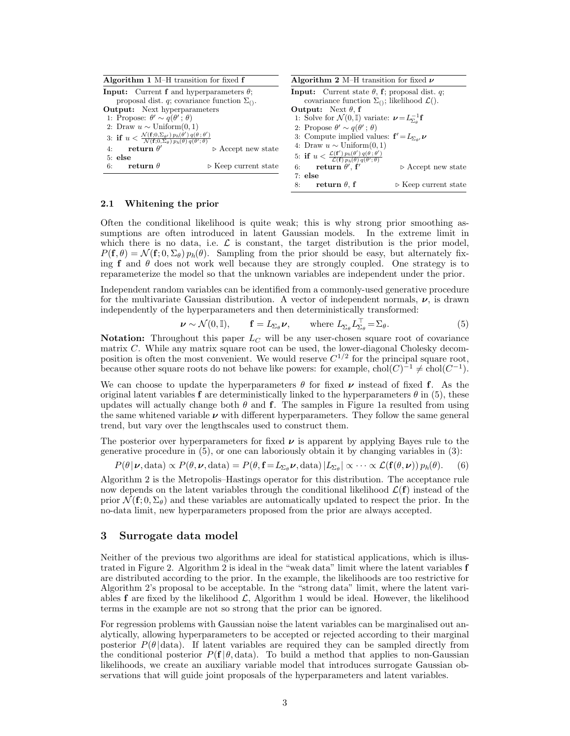| Algorithm 1 $M-H$ transition for fixed $f$                                                                                                                            | <b>Algorithm 2</b> M–H transition for fixed $\nu$                                                                                       |
|-----------------------------------------------------------------------------------------------------------------------------------------------------------------------|-----------------------------------------------------------------------------------------------------------------------------------------|
| <b>Input:</b> Current <b>f</b> and hyperparameters $\theta$ ;<br>proposal dist. q; covariance function $\Sigma_{()}$ .                                                | <b>Input:</b> Current state $\theta$ , <b>f</b> ; proposal dist. q;<br>covariance function $\Sigma_{()}$ ; likelihood $\mathcal{L}($ ). |
| <b>Output:</b> Next hyperparameters                                                                                                                                   | <b>Output:</b> Next $\theta$ , f                                                                                                        |
| 1: Propose: $\theta' \sim q(\theta'; \theta)$                                                                                                                         | 1: Solve for $\mathcal{N}(0, \mathbb{I})$ variate: $\nu = L_{\Sigma_0}^{-1} \mathbf{f}$                                                 |
| 2: Draw $u \sim$ Uniform $(0, 1)$                                                                                                                                     | 2: Propose $\theta' \sim q(\theta'; \theta)$                                                                                            |
| 3: if $u < \frac{\mathcal{N}(\mathbf{f};0,\Sigma_{\theta'}) p_h(\theta') q(\theta;\theta')}{\mathcal{N}(\mathbf{f};0,\Sigma_{\theta}) p_h(\theta) q(\theta';\theta)}$ | 3: Compute implied values: $f' = L_{\Sigma_{\alpha'}} \nu$                                                                              |
| return $\theta'$<br>$\triangleright$ Accept new state<br>4:                                                                                                           | 4: Draw $u \sim$ Uniform $(0, 1)$                                                                                                       |
| $5:$ else                                                                                                                                                             | 5: if $u < \frac{\mathcal{L}(\mathbf{f}') p_h(\theta') q(\theta; \theta')}{\mathcal{L}(\mathbf{f}) p_h(\theta) q(\theta'; \theta)}$     |
| return $\theta$<br>$\triangleright$ Keep current state<br>6:                                                                                                          | $\mathbf{return} \ \theta^{\prime}$ , $\mathbf{f}^{\prime}$<br>6:<br>$\triangleright$ Accept new state                                  |
|                                                                                                                                                                       | $7:$ else                                                                                                                               |
|                                                                                                                                                                       | return $\theta$ , f<br>$\triangleright$ Keep current state<br>8:                                                                        |

#### 2.1 Whitening the prior

Often the conditional likelihood is quite weak; this is why strong prior smoothing assumptions are often introduced in latent Gaussian models. In the extreme limit in which there is no data, i.e.  $\mathcal L$  is constant, the target distribution is the prior model,  $P(\mathbf{f}, \theta) = \mathcal{N}(\mathbf{f}; 0, \Sigma_{\theta}) p_h(\theta)$ . Sampling from the prior should be easy, but alternately fixing f and  $\theta$  does not work well because they are strongly coupled. One strategy is to reparameterize the model so that the unknown variables are independent under the prior.

Independent random variables can be identified from a commonly-used generative procedure for the multivariate Gaussian distribution. A vector of independent normals,  $\nu$ , is drawn independently of the hyperparameters and then deterministically transformed:

$$
\mathbf{\nu} \sim \mathcal{N}(0, \mathbb{I}), \qquad \mathbf{f} = L_{\Sigma_{\theta}} \mathbf{\nu}, \qquad \text{where } L_{\Sigma_{\theta}} L_{\Sigma_{\theta}}^{\top} = \Sigma_{\theta}.
$$
 (5)

Notation: Throughout this paper  $L_C$  will be any user-chosen square root of covariance matrix C. While any matrix square root can be used, the lower-diagonal Cholesky decomposition is often the most convenient. We would reserve  $C^{1/2}$  for the principal square root, because other square roots do not behave like powers: for example,  $\text{chol}(C)^{-1} \neq \text{chol}(C^{-1})$ .

We can choose to update the hyperparameters  $\theta$  for fixed  $\nu$  instead of fixed f. As the original latent variables f are deterministically linked to the hyperparameters  $\theta$  in (5), these updates will actually change both  $\theta$  and f. The samples in Figure 1a resulted from using the same whitened variable  $\nu$  with different hyperparameters. They follow the same general trend, but vary over the lengthscales used to construct them.

The posterior over hyperparameters for fixed  $\nu$  is apparent by applying Bayes rule to the generative procedure in (5), or one can laboriously obtain it by changing variables in (3):

$$
P(\theta | \boldsymbol{\nu}, \text{data}) \propto P(\theta, \boldsymbol{\nu}, \text{data}) = P(\theta, \mathbf{f} = L_{\Sigma_{\theta}} \boldsymbol{\nu}, \text{data}) | L_{\Sigma_{\theta}} | \propto \cdots \propto \mathcal{L}(\mathbf{f}(\theta, \boldsymbol{\nu})) p_h(\theta).
$$
 (6)

Algorithm 2 is the Metropolis–Hastings operator for this distribution. The acceptance rule now depends on the latent variables through the conditional likelihood  $\mathcal{L}(\mathbf{f})$  instead of the prior  $\mathcal{N}(\mathbf{f}; 0, \Sigma_{\theta})$  and these variables are automatically updated to respect the prior. In the no-data limit, new hyperparameters proposed from the prior are always accepted.

## 3 Surrogate data model

Neither of the previous two algorithms are ideal for statistical applications, which is illustrated in Figure 2. Algorithm 2 is ideal in the "weak data" limit where the latent variables f are distributed according to the prior. In the example, the likelihoods are too restrictive for Algorithm 2's proposal to be acceptable. In the "strong data" limit, where the latent variables f are fixed by the likelihood  $\mathcal{L}$ , Algorithm 1 would be ideal. However, the likelihood terms in the example are not so strong that the prior can be ignored.

For regression problems with Gaussian noise the latent variables can be marginalised out analytically, allowing hyperparameters to be accepted or rejected according to their marginal posterior  $P(\theta | data)$ . If latent variables are required they can be sampled directly from the conditional posterior  $P(f \mid \theta, \text{data})$ . To build a method that applies to non-Gaussian likelihoods, we create an auxiliary variable model that introduces surrogate Gaussian observations that will guide joint proposals of the hyperparameters and latent variables.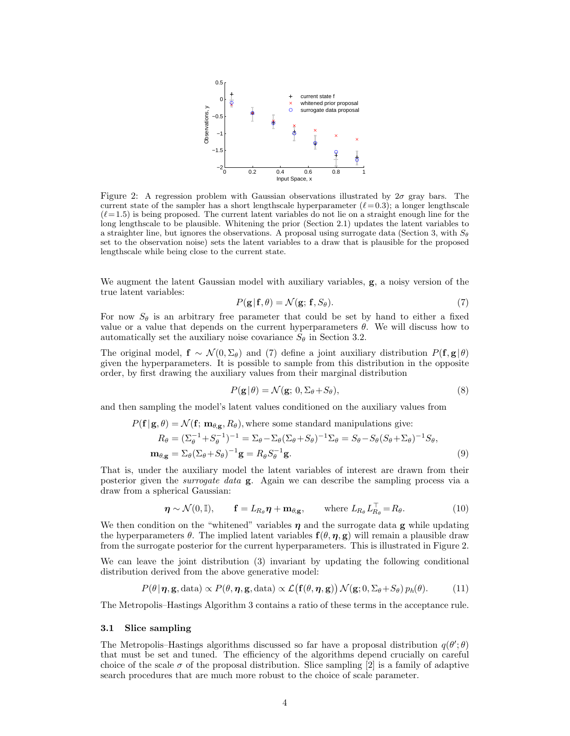

Figure 2: A regression problem with Gaussian observations illustrated by  $2\sigma$  gray bars. The current state of the sampler has a short lengthscale hyperparameter  $(\ell = 0.3)$ ; a longer lengthscale  $(\ell = 1.5)$  is being proposed. The current latent variables do not lie on a straight enough line for the long lengthscale to be plausible. Whitening the prior (Section 2.1) updates the latent variables to a straighter line, but ignores the observations. A proposal using surrogate data (Section 3, with  $S_{\theta}$ set to the observation noise) sets the latent variables to a draw that is plausible for the proposed lengthscale while being close to the current state.

We augment the latent Gaussian model with auxiliary variables, **g**, a noisy version of the true latent variables:

$$
P(\mathbf{g}|\mathbf{f},\theta) = \mathcal{N}(\mathbf{g}; \mathbf{f}, S_{\theta}).
$$
\n(7)

For now  $S_{\theta}$  is an arbitrary free parameter that could be set by hand to either a fixed value or a value that depends on the current hyperparameters  $\theta$ . We will discuss how to automatically set the auxiliary noise covariance  $S_{\theta}$  in Section 3.2.

The original model,  $f \sim \mathcal{N}(0, \Sigma_{\theta})$  and (7) define a joint auxiliary distribution  $P(f, g|\theta)$ given the hyperparameters. It is possible to sample from this distribution in the opposite order, by first drawing the auxiliary values from their marginal distribution

$$
P(\mathbf{g}|\theta) = \mathcal{N}(\mathbf{g}; 0, \Sigma_{\theta} + S_{\theta}),
$$
\n(8)

and then sampling the model's latent values conditioned on the auxiliary values from

$$
P(\mathbf{f} | \mathbf{g}, \theta) = \mathcal{N}(\mathbf{f}; \mathbf{m}_{\theta, \mathbf{g}}, R_{\theta}), \text{ where some standard manipulations give:}
$$
  
\n
$$
R_{\theta} = (\Sigma_{\theta}^{-1} + S_{\theta}^{-1})^{-1} = \Sigma_{\theta} - \Sigma_{\theta} (\Sigma_{\theta} + S_{\theta})^{-1} \Sigma_{\theta} = S_{\theta} - S_{\theta} (S_{\theta} + \Sigma_{\theta})^{-1} S_{\theta},
$$
  
\n
$$
\mathbf{m}_{\theta, \mathbf{g}} = \Sigma_{\theta} (\Sigma_{\theta} + S_{\theta})^{-1} \mathbf{g} = R_{\theta} S_{\theta}^{-1} \mathbf{g}.
$$
\n(9)

That is, under the auxiliary model the latent variables of interest are drawn from their posterior given the surrogate data g. Again we can describe the sampling process via a draw from a spherical Gaussian:

$$
\boldsymbol{\eta} \sim \mathcal{N}(0, \mathbb{I}), \quad \mathbf{f} = L_{R_{\theta}} \boldsymbol{\eta} + \mathbf{m}_{\theta, \mathbf{g}}, \quad \text{where } L_{R_{\theta}} L_{R_{\theta}}^{\top} = R_{\theta}.
$$
 (10)

We then condition on the "whitened" variables  $\eta$  and the surrogate data g while updating the hyperparameters  $\theta$ . The implied latent variables  $f(\theta, \eta, g)$  will remain a plausible draw from the surrogate posterior for the current hyperparameters. This is illustrated in Figure 2.

We can leave the joint distribution (3) invariant by updating the following conditional distribution derived from the above generative model:

$$
P(\theta | \boldsymbol{\eta}, \mathbf{g}, \text{data}) \propto P(\theta, \boldsymbol{\eta}, \mathbf{g}, \text{data}) \propto \mathcal{L}(\mathbf{f}(\theta, \boldsymbol{\eta}, \mathbf{g})) \, \mathcal{N}(\mathbf{g}; 0, \Sigma_{\theta} + S_{\theta}) \, p_h(\theta). \tag{11}
$$

The Metropolis–Hastings Algorithm 3 contains a ratio of these terms in the acceptance rule.

#### 3.1 Slice sampling

The Metropolis–Hastings algorithms discussed so far have a proposal distribution  $q(\theta';\theta)$ that must be set and tuned. The efficiency of the algorithms depend crucially on careful choice of the scale  $\sigma$  of the proposal distribution. Slice sampling [2] is a family of adaptive search procedures that are much more robust to the choice of scale parameter.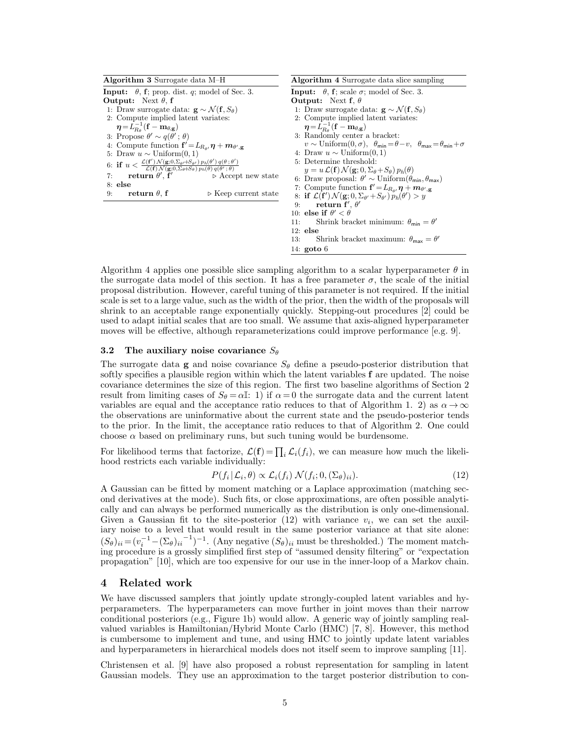| Algorithm 3 Surrogate data M-H                                                                                                                                                                                                                | <b>Algorithm 4</b> Surrogate data slice sampling                                                               |
|-----------------------------------------------------------------------------------------------------------------------------------------------------------------------------------------------------------------------------------------------|----------------------------------------------------------------------------------------------------------------|
| <b>Input:</b> $\theta$ , <b>f</b> ; prop. dist. <i>q</i> ; model of Sec. 3.                                                                                                                                                                   | <b>Input:</b> $\theta$ , <b>f</b> ; scale $\sigma$ ; model of Sec. 3.                                          |
| <b>Output:</b> Next $\theta$ , f                                                                                                                                                                                                              | <b>Output:</b> Next f, $\theta$                                                                                |
| 1: Draw surrogate data: $\mathbf{g} \sim \mathcal{N}(\mathbf{f}, S_{\theta})$                                                                                                                                                                 | 1: Draw surrogate data: $\mathbf{g} \sim \mathcal{N}(\mathbf{f}, S_{\theta})$                                  |
| 2: Compute implied latent variates:                                                                                                                                                                                                           | 2: Compute implied latent variates:                                                                            |
| $\eta = L_{B_0}^{-1}(\mathbf{f} - \mathbf{m}_{\theta,\mathbf{g}})$                                                                                                                                                                            | $\eta = L_{B_0}^{-1}(\mathbf{f} - \mathbf{m}_{\theta,\mathbf{g}})$                                             |
| 3: Propose $\theta' \sim q(\theta'; \theta)$                                                                                                                                                                                                  | 3: Randomly center a bracket:                                                                                  |
| 4: Compute function ${\bf f}' = L_{R_{\theta'}} {\bf \eta} + {\bf m}_{\theta', {\bf g}}$                                                                                                                                                      | $v \sim \text{Uniform}(0, \sigma), \ \ \theta_{\min} = \theta - v, \ \ \theta_{\max} = \theta_{\min} + \sigma$ |
| 5: Draw $u \sim$ Uniform $(0, 1)$                                                                                                                                                                                                             | 4: Draw $u \sim$ Uniform $(0, 1)$                                                                              |
| 6: if $u < \frac{\mathcal{L}(\mathbf{f}') \mathcal{N}(\mathbf{g};0,\Sigma_{\theta'}+S_{\theta'}) p_h(\theta') q(\theta;\theta')}{\mathcal{L}(\mathbf{f}) \mathcal{N}(\mathbf{g};0,\Sigma_{\theta}+S_{\theta}) p_h(\theta) q(\theta';\theta)}$ | 5: Determine threshold:                                                                                        |
|                                                                                                                                                                                                                                               | $y = u \mathcal{L}(\mathbf{f}) \mathcal{N}(\mathbf{g}; 0, \Sigma_{\theta} + S_{\theta}) p_h(\theta)$           |
| return $\theta'$ , f'<br>$\triangleright$ Accept new state<br>7:                                                                                                                                                                              | 6: Draw proposal: $\theta' \sim \text{Uniform}(\theta_{\min}, \theta_{\max})$                                  |
| $8:$ else                                                                                                                                                                                                                                     | 7: Compute function ${\bf f}' = L_{R_{\alpha\prime}} {\bf \eta} + {\bf m}_{\theta',{\bf g}}$                   |
| return $\theta$ , f<br>$\triangleright$ Keep current state<br>9:                                                                                                                                                                              | 8: if $\mathcal{L}(\mathbf{f}') \mathcal{N}(\mathbf{g};0,\Sigma_{\theta'}+S_{\theta'}) p_h(\theta') > y$       |
|                                                                                                                                                                                                                                               | 9: return $f', \theta'$                                                                                        |
|                                                                                                                                                                                                                                               | 10: else if $\theta' < \theta$                                                                                 |
|                                                                                                                                                                                                                                               | Shrink bracket minimum: $\theta_{\min} = \theta'$<br>11:                                                       |
|                                                                                                                                                                                                                                               | $12:$ else                                                                                                     |
|                                                                                                                                                                                                                                               | Shrink bracket maximum: $\theta_{\text{max}} = \theta'$<br>13:                                                 |
|                                                                                                                                                                                                                                               | 14: $\gcd 6$                                                                                                   |

Algorithm 4 applies one possible slice sampling algorithm to a scalar hyperparameter  $\theta$  in the surrogate data model of this section. It has a free parameter  $\sigma$ , the scale of the initial proposal distribution. However, careful tuning of this parameter is not required. If the initial scale is set to a large value, such as the width of the prior, then the width of the proposals will shrink to an acceptable range exponentially quickly. Stepping-out procedures [2] could be used to adapt initial scales that are too small. We assume that axis-aligned hyperparameter moves will be effective, although reparameterizations could improve performance [e.g. 9].

### 3.2 The auxiliary noise covariance  $S_{\theta}$

The surrogate data **g** and noise covariance  $S_{\theta}$  define a pseudo-posterior distribution that softly specifies a plausible region within which the latent variables  $f$  are updated. The noise covariance determines the size of this region. The first two baseline algorithms of Section 2 result from limiting cases of  $S_{\theta} = \alpha I$ : 1) if  $\alpha = 0$  the surrogate data and the current latent variables are equal and the acceptance ratio reduces to that of Algorithm 1. 2) as  $\alpha \to \infty$ the observations are uninformative about the current state and the pseudo-posterior tends to the prior. In the limit, the acceptance ratio reduces to that of Algorithm 2. One could choose  $\alpha$  based on preliminary runs, but such tuning would be burdensome.

For likelihood terms that factorize,  $\mathcal{L}(\mathbf{f}) = \prod_i \mathcal{L}_i(f_i)$ , we can measure how much the likelihood restricts each variable individually:

$$
P(f_i | \mathcal{L}_i, \theta) \propto \mathcal{L}_i(f_i) \mathcal{N}(f_i; 0, (\Sigma_\theta)_{ii}).
$$
\n(12)

A Gaussian can be fitted by moment matching or a Laplace approximation (matching second derivatives at the mode). Such fits, or close approximations, are often possible analytically and can always be performed numerically as the distribution is only one-dimensional. Given a Gaussian fit to the site-posterior  $(12)$  with variance  $v_i$ , we can set the auxiliary noise to a level that would result in the same posterior variance at that site alone:  $(S_{\theta})_{ii} = (v_i^{-1} - (\Sigma_{\theta})_{ii}^{-1})^{-1}$ . (Any negative  $(S_{\theta})_{ii}$  must be thresholded.) The moment matching procedure is a grossly simplified first step of "assumed density filtering" or "expectation propagation" [10], which are too expensive for our use in the inner-loop of a Markov chain.

## 4 Related work

We have discussed samplers that jointly update strongly-coupled latent variables and hyperparameters. The hyperparameters can move further in joint moves than their narrow conditional posteriors (e.g., Figure 1b) would allow. A generic way of jointly sampling realvalued variables is Hamiltonian/Hybrid Monte Carlo (HMC) [7, 8]. However, this method is cumbersome to implement and tune, and using HMC to jointly update latent variables and hyperparameters in hierarchical models does not itself seem to improve sampling [11].

Christensen et al. [9] have also proposed a robust representation for sampling in latent Gaussian models. They use an approximation to the target posterior distribution to con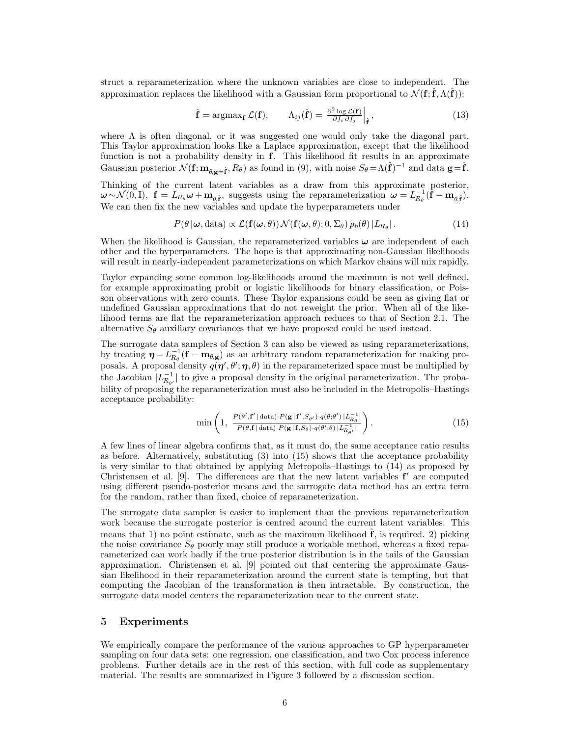struct a reparameterization where the unknown variables are close to independent. The approximation replaces the likelihood with a Gaussian form proportional to  $\mathcal{N}(\mathbf{f}; \hat{\mathbf{f}}, \Lambda(\hat{\mathbf{f}}))$ :

$$
\hat{\mathbf{f}} = \operatorname{argmax}_{\mathbf{f}} \mathcal{L}(\mathbf{f}), \qquad \Lambda_{ij}(\hat{\mathbf{f}}) = \left. \frac{\partial^2 \log \mathcal{L}(\mathbf{f})}{\partial f_i \partial f_j} \right|_{\hat{\mathbf{f}}}, \tag{13}
$$

where  $\Lambda$  is often diagonal, or it was suggested one would only take the diagonal part. This Taylor approximation looks like a Laplace approximation, except that the likelihood function is not a probability density in  $f$ . This likelihood fit results in an approximate Gaussian posterior  $\mathcal{N}(\mathbf{f}; \mathbf{m}_{\theta, \mathbf{g}=\hat{\mathbf{f}}}, R_{\theta})$  as found in (9), with noise  $S_{\theta} = \Lambda(\hat{\mathbf{f}})^{-1}$  and data  $\mathbf{g} = \hat{\mathbf{f}}$ .

Thinking of the current latent variables as a draw from this approximate posterior,  $\boldsymbol{\omega} \sim \mathcal{N}(0, \mathbb{I}), \; \mathbf{f} = L_{R_{\theta}} \boldsymbol{\omega} + \mathbf{m}_{\theta, \hat{\mathbf{f}}}, \; \text{suggests using the reparameterization } \boldsymbol{\omega} = L_{R_{\theta}}^{-1} (\hat{\mathbf{f}} - \mathbf{m}_{\theta, \hat{\mathbf{f}}}).$ We can then fix the new variables and update the hyperparameters under

$$
P(\theta | \boldsymbol{\omega}, \text{data}) \propto \mathcal{L}(\mathbf{f}(\boldsymbol{\omega}, \theta)) \mathcal{N}(\mathbf{f}(\boldsymbol{\omega}, \theta); 0, \Sigma_{\theta}) p_h(\theta) |L_{R_{\theta}}|.
$$
 (14)

When the likelihood is Gaussian, the reparameterized variables  $\omega$  are independent of each other and the hyperparameters. The hope is that approximating non-Gaussian likelihoods will result in nearly-independent parameterizations on which Markov chains will mix rapidly.

Taylor expanding some common log-likelihoods around the maximum is not well defined, for example approximating probit or logistic likelihoods for binary classification, or Poisson observations with zero counts. These Taylor expansions could be seen as giving flat or undefined Gaussian approximations that do not reweight the prior. When all of the likelihood terms are flat the reparameterization approach reduces to that of Section 2.1. The alternative  $S_{\theta}$  auxiliary covariances that we have proposed could be used instead.

The surrogate data samplers of Section 3 can also be viewed as using reparameterizations, by treating  $\eta = L_{R_{\theta}}^{-1}(\mathbf{f} - \mathbf{m}_{\theta, \mathbf{g}})$  as an arbitrary random reparameterization for making proposals. A proposal density  $q(\eta', \theta'; \eta, \theta)$  in the reparameterized space must be multiplied by the Jacobian  $|L_{R_{\theta'}}^{-1}|$  to give a proposal density in the original parameterization. The probability of proposing the reparameterization must also be included in the Metropolis–Hastings acceptance probability:

$$
\min\left(1, \frac{P(\theta', \mathbf{f'} | \text{data}) \cdot P(\mathbf{g} | \mathbf{f'}, S_{\theta'}) \cdot q(\theta; \theta') | L_{\theta}^{-1}|}{P(\theta, \mathbf{f} | \text{data}) \cdot P(\mathbf{g} | \mathbf{f}, S_{\theta}) \cdot q(\theta'; \theta) | L_{R_{\theta'}}^{-1}|}\right).
$$
(15)

A few lines of linear algebra confirms that, as it must do, the same acceptance ratio results as before. Alternatively, substituting (3) into (15) shows that the acceptance probability is very similar to that obtained by applying Metropolis–Hastings to (14) as proposed by Christensen et al.  $[9]$ . The differences are that the new latent variables  $f'$  are computed using different pseudo-posterior means and the surrogate data method has an extra term for the random, rather than fixed, choice of reparameterization.

The surrogate data sampler is easier to implement than the previous reparameterization work because the surrogate posterior is centred around the current latent variables. This means that 1) no point estimate, such as the maximum likelihood  $\hat{\mathbf{f}}$ , is required. 2) picking the noise covariance  $S_{\theta}$  poorly may still produce a workable method, whereas a fixed reparameterized can work badly if the true posterior distribution is in the tails of the Gaussian approximation. Christensen et al. [9] pointed out that centering the approximate Gaussian likelihood in their reparameterization around the current state is tempting, but that computing the Jacobian of the transformation is then intractable. By construction, the surrogate data model centers the reparameterization near to the current state.

## 5 Experiments

We empirically compare the performance of the various approaches to GP hyperparameter sampling on four data sets: one regression, one classification, and two Cox process inference problems. Further details are in the rest of this section, with full code as supplementary material. The results are summarized in Figure 3 followed by a discussion section.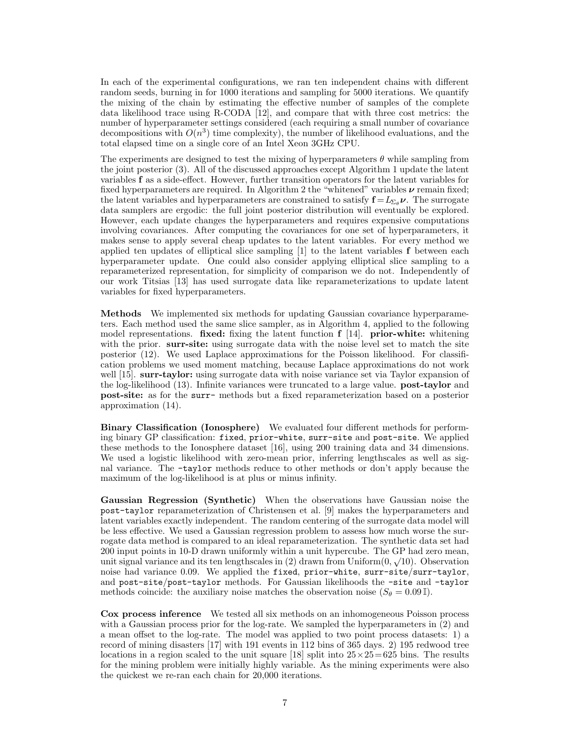In each of the experimental configurations, we ran ten independent chains with different random seeds, burning in for 1000 iterations and sampling for 5000 iterations. We quantify the mixing of the chain by estimating the effective number of samples of the complete data likelihood trace using R-CODA [12], and compare that with three cost metrics: the number of hyperparameter settings considered (each requiring a small number of covariance decompositions with  $O(n^3)$  time complexity), the number of likelihood evaluations, and the total elapsed time on a single core of an Intel Xeon 3GHz CPU.

The experiments are designed to test the mixing of hyperparameters  $\theta$  while sampling from the joint posterior (3). All of the discussed approaches except Algorithm 1 update the latent variables f as a side-effect. However, further transition operators for the latent variables for fixed hyperparameters are required. In Algorithm 2 the "whitened" variables  $\nu$  remain fixed; the latent variables and hyperparameters are constrained to satisfy  $\mathbf{f} = L_{\Sigma_{\alpha}} \nu$ . The surrogate data samplers are ergodic: the full joint posterior distribution will eventually be explored. However, each update changes the hyperparameters and requires expensive computations involving covariances. After computing the covariances for one set of hyperparameters, it makes sense to apply several cheap updates to the latent variables. For every method we applied ten updates of elliptical slice sampling [1] to the latent variables f between each hyperparameter update. One could also consider applying elliptical slice sampling to a reparameterized representation, for simplicity of comparison we do not. Independently of our work Titsias [13] has used surrogate data like reparameterizations to update latent variables for fixed hyperparameters.

Methods We implemented six methods for updating Gaussian covariance hyperparameters. Each method used the same slice sampler, as in Algorithm 4, applied to the following model representations. fixed: fixing the latent function  $f$  [14]. prior-white: whitening with the prior. surr-site: using surrogate data with the noise level set to match the site posterior (12). We used Laplace approximations for the Poisson likelihood. For classification problems we used moment matching, because Laplace approximations do not work well [15]. surr-taylor: using surrogate data with noise variance set via Taylor expansion of the log-likelihood (13). Infinite variances were truncated to a large value. **post-taylor** and post-site: as for the surr- methods but a fixed reparameterization based on a posterior approximation (14).

Binary Classification (Ionosphere) We evaluated four different methods for performing binary GP classification: fixed, prior-white, surr-site and post-site. We applied these methods to the Ionosphere dataset [16], using 200 training data and 34 dimensions. We used a logistic likelihood with zero-mean prior, inferring lengthscales as well as signal variance. The -taylor methods reduce to other methods or don't apply because the maximum of the log-likelihood is at plus or minus infinity.

Gaussian Regression (Synthetic) When the observations have Gaussian noise the post-taylor reparameterization of Christensen et al. [9] makes the hyperparameters and latent variables exactly independent. The random centering of the surrogate data model will be less effective. We used a Gaussian regression problem to assess how much worse the surrogate data method is compared to an ideal reparameterization. The synthetic data set had 200 input points in 10-D drawn uniformly within a unit hypercube. The GP had zero mean, unit signal variance and its ten lengthscales in (2) drawn from Uniform $(0, \sqrt{10})$ . Observation noise had variance 0.09. We applied the fixed, prior-white, surr-site/surr-taylor, and post-site/post-taylor methods. For Gaussian likelihoods the -site and -taylor methods coincide: the auxiliary noise matches the observation noise ( $S_{\theta} = 0.09$ ).

Cox process inference We tested all six methods on an inhomogeneous Poisson process with a Gaussian process prior for the log-rate. We sampled the hyperparameters in  $(2)$  and a mean offset to the log-rate. The model was applied to two point process datasets: 1) a record of mining disasters [17] with 191 events in 112 bins of 365 days. 2) 195 redwood tree locations in a region scaled to the unit square [18] split into  $25 \times 25 = 625$  bins. The results for the mining problem were initially highly variable. As the mining experiments were also the quickest we re-ran each chain for 20,000 iterations.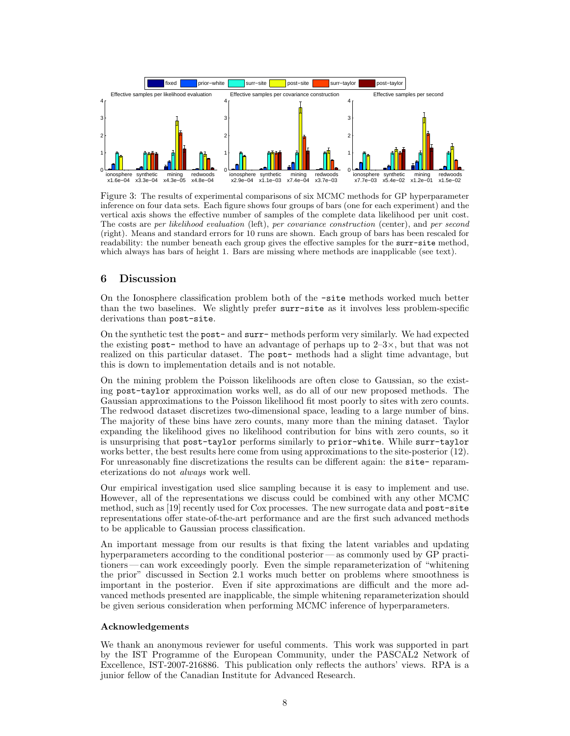

Figure 3: The results of experimental comparisons of six MCMC methods for GP hyperparameter inference on four data sets. Each figure shows four groups of bars (one for each experiment) and the vertical axis shows the effective number of samples of the complete data likelihood per unit cost. The costs are per likelihood evaluation (left), per covariance construction (center), and per second (right). Means and standard errors for 10 runs are shown. Each group of bars has been rescaled for readability: the number beneath each group gives the effective samples for the surr-site method, which always has bars of height 1. Bars are missing where methods are inapplicable (see text).

# 6 Discussion

On the Ionosphere classification problem both of the -site methods worked much better than the two baselines. We slightly prefer surr-site as it involves less problem-specific derivations than post-site.

On the synthetic test the post- and surr- methods perform very similarly. We had expected the existing post- method to have an advantage of perhaps up to  $2-3\times$ , but that was not realized on this particular dataset. The post- methods had a slight time advantage, but this is down to implementation details and is not notable.

On the mining problem the Poisson likelihoods are often close to Gaussian, so the existing post-taylor approximation works well, as do all of our new proposed methods. The Gaussian approximations to the Poisson likelihood fit most poorly to sites with zero counts. The redwood dataset discretizes two-dimensional space, leading to a large number of bins. The majority of these bins have zero counts, many more than the mining dataset. Taylor expanding the likelihood gives no likelihood contribution for bins with zero counts, so it is unsurprising that post-taylor performs similarly to prior-white. While surr-taylor works better, the best results here come from using approximations to the site-posterior (12). For unreasonably fine discretizations the results can be different again: the site-reparameterizations do not always work well.

Our empirical investigation used slice sampling because it is easy to implement and use. However, all of the representations we discuss could be combined with any other MCMC method, such as [19] recently used for Cox processes. The new surrogate data and post-site representations offer state-of-the-art performance and are the first such advanced methods to be applicable to Gaussian process classification.

An important message from our results is that fixing the latent variables and updating hyperparameters according to the conditional posterior — as commonly used by GP practitioners — can work exceedingly poorly. Even the simple reparameterization of "whitening the prior" discussed in Section 2.1 works much better on problems where smoothness is important in the posterior. Even if site approximations are difficult and the more advanced methods presented are inapplicable, the simple whitening reparameterization should be given serious consideration when performing MCMC inference of hyperparameters.

## Acknowledgements

We thank an anonymous reviewer for useful comments. This work was supported in part by the IST Programme of the European Community, under the PASCAL2 Network of Excellence, IST-2007-216886. This publication only reflects the authors' views. RPA is a junior fellow of the Canadian Institute for Advanced Research.